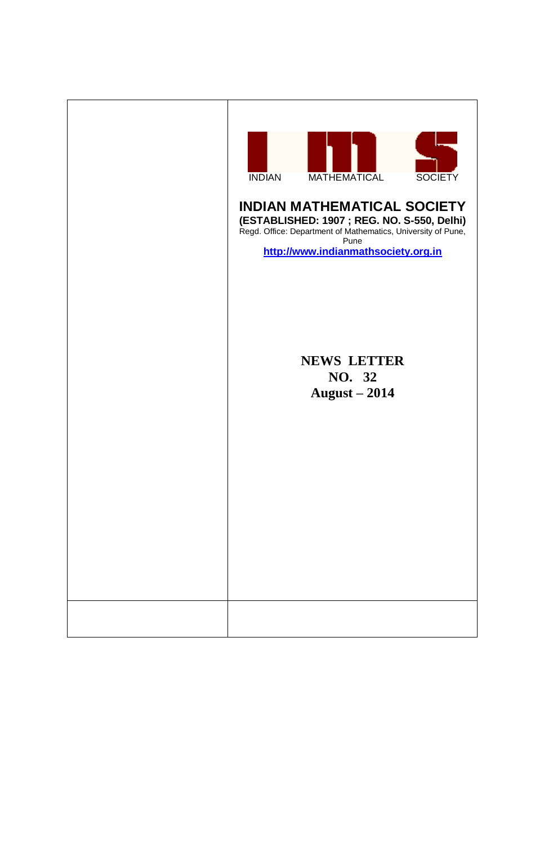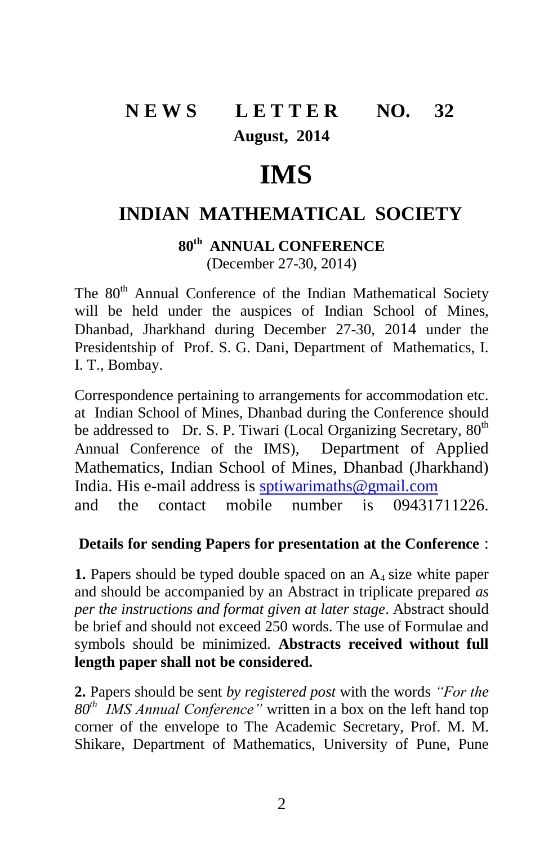# **N E W S L E T T E R NO. 32 August, 2014**

# **IMS**

# **INDIAN MATHEMATICAL SOCIETY**

**80th ANNUAL CONFERENCE** (December 27-30, 2014)

The 80<sup>th</sup> Annual Conference of the Indian Mathematical Society will be held under the auspices of Indian School of Mines, Dhanbad, Jharkhand during December 27-30, 2014 under the Presidentship of Prof. S. G. Dani, Department of Mathematics, I. I. T., Bombay.

Correspondence pertaining to arrangements for accommodation etc. at Indian School of Mines, Dhanbad during the Conference should be addressed to Dr. S. P. Tiwari (Local Organizing Secretary,  $80<sup>th</sup>$ Annual Conference of the IMS), Department of Applied Mathematics, Indian School of Mines, Dhanbad (Jharkhand) India. His e-mail address is [sptiwarimaths@gmail.com](mailto:sptiwarimaths@gmail.com) and the contact mobile number is 09431711226.

#### **Details for sending Papers for presentation at the Conference** :

**1.** Papers should be typed double spaced on an A<sub>4</sub> size white paper and should be accompanied by an Abstract in triplicate prepared *as per the instructions and format given at later stage*. Abstract should be brief and should not exceed 250 words. The use of Formulae and symbols should be minimized. **Abstracts received without full length paper shall not be considered.** 

**2.** Papers should be sent *by registered post* with the words *"For the 80th IMS Annual Conference"* written in a box on the left hand top corner of the envelope to The Academic Secretary, Prof. M. M. Shikare, Department of Mathematics, University of Pune, Pune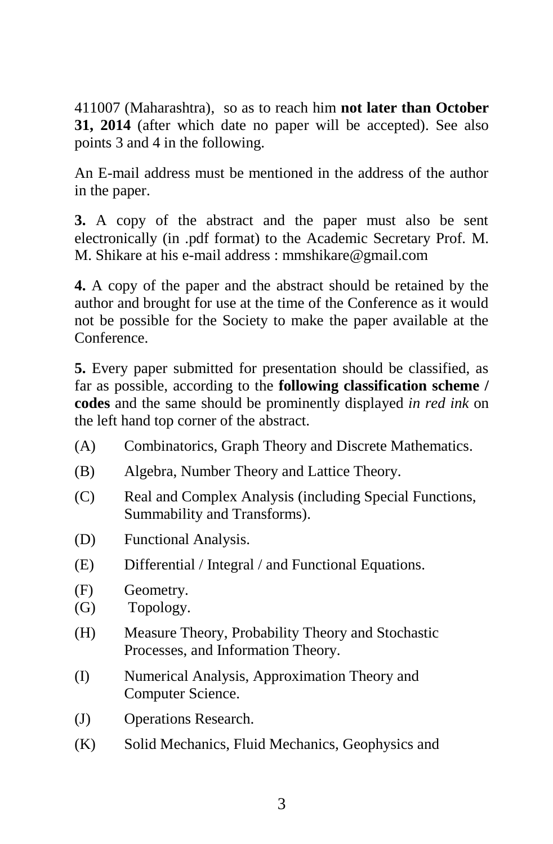411007 (Maharashtra), so as to reach him **not later than October 31, 2014** (after which date no paper will be accepted). See also points 3 and 4 in the following.

An E-mail address must be mentioned in the address of the author in the paper.

**3.** A copy of the abstract and the paper must also be sent electronically (in .pdf format) to the Academic Secretary Prof. M. M. Shikare at his e-mail address : mmshikare@gmail.com

**4.** A copy of the paper and the abstract should be retained by the author and brought for use at the time of the Conference as it would not be possible for the Society to make the paper available at the Conference.

**5.** Every paper submitted for presentation should be classified, as far as possible, according to the **following classification scheme / codes** and the same should be prominently displayed *in red ink* on the left hand top corner of the abstract.

- (A) Combinatorics, Graph Theory and Discrete Mathematics.
- (B) Algebra, Number Theory and Lattice Theory.
- (C) Real and Complex Analysis (including Special Functions, Summability and Transforms).
- (D) Functional Analysis.
- (E) Differential / Integral / and Functional Equations.
- (F) Geometry.
- (G) Topology.
- (H) Measure Theory, Probability Theory and Stochastic Processes, and Information Theory.
- (I) Numerical Analysis, Approximation Theory and Computer Science.
- (J) Operations Research.
- (K) Solid Mechanics, Fluid Mechanics, Geophysics and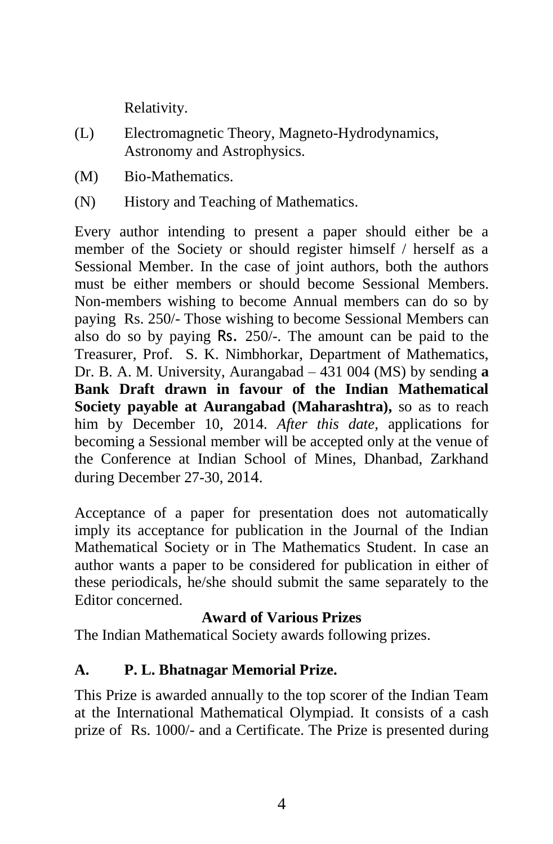Relativity.

- (L) Electromagnetic Theory, Magneto-Hydrodynamics, Astronomy and Astrophysics.
- (M) Bio-Mathematics.
- (N) History and Teaching of Mathematics.

Every author intending to present a paper should either be a member of the Society or should register himself / herself as a Sessional Member. In the case of joint authors, both the authors must be either members or should become Sessional Members. Non-members wishing to become Annual members can do so by paying Rs. 250/- Those wishing to become Sessional Members can also do so by paying Rs. 250/-. The amount can be paid to the Treasurer, Prof. S. K. Nimbhorkar, Department of Mathematics, Dr. B. A. M. University, Aurangabad – 431 004 (MS) by sending **a Bank Draft drawn in favour of the Indian Mathematical Society payable at Aurangabad (Maharashtra),** so as to reach him by December 10, 2014. *After this date,* applications for becoming a Sessional member will be accepted only at the venue of the Conference at Indian School of Mines, Dhanbad, Zarkhand during December 27-30, 2014.

Acceptance of a paper for presentation does not automatically imply its acceptance for publication in the Journal of the Indian Mathematical Society or in The Mathematics Student. In case an author wants a paper to be considered for publication in either of these periodicals, he/she should submit the same separately to the Editor concerned.

## **Award of Various Prizes**

The Indian Mathematical Society awards following prizes.

## **A. P. L. Bhatnagar Memorial Prize.**

This Prize is awarded annually to the top scorer of the Indian Team at the International Mathematical Olympiad. It consists of a cash prize of Rs. 1000/- and a Certificate. The Prize is presented during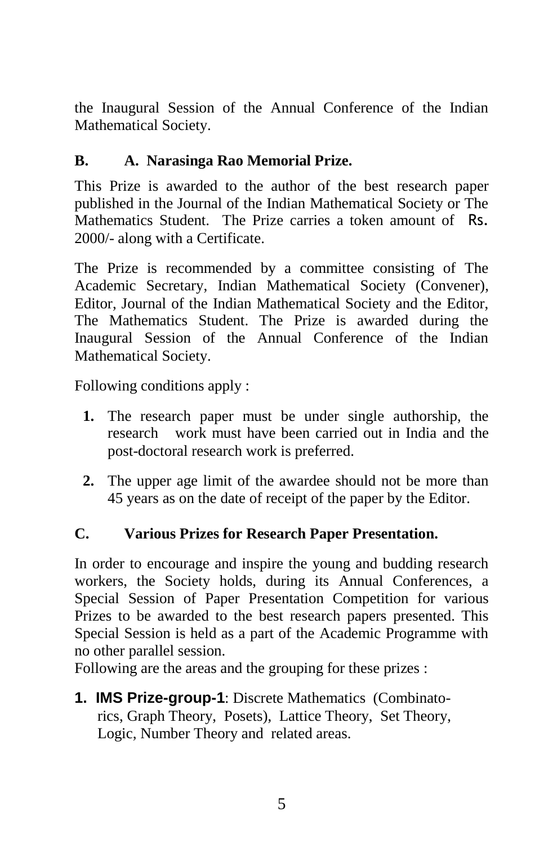the Inaugural Session of the Annual Conference of the Indian Mathematical Society.

## **B. A. Narasinga Rao Memorial Prize.**

This Prize is awarded to the author of the best research paper published in the Journal of the Indian Mathematical Society or The Mathematics Student. The Prize carries a token amount of Rs. 2000/- along with a Certificate.

The Prize is recommended by a committee consisting of The Academic Secretary, Indian Mathematical Society (Convener), Editor, Journal of the Indian Mathematical Society and the Editor, The Mathematics Student. The Prize is awarded during the Inaugural Session of the Annual Conference of the Indian Mathematical Society.

Following conditions apply :

- **1.** The research paper must be under single authorship, the research work must have been carried out in India and the post-doctoral research work is preferred.
- **2.** The upper age limit of the awardee should not be more than 45 years as on the date of receipt of the paper by the Editor.

## **C. Various Prizes for Research Paper Presentation.**

In order to encourage and inspire the young and budding research workers, the Society holds, during its Annual Conferences, a Special Session of Paper Presentation Competition for various Prizes to be awarded to the best research papers presented. This Special Session is held as a part of the Academic Programme with no other parallel session.

Following are the areas and the grouping for these prizes :

**1. IMS Prize-group-1**: Discrete Mathematics (Combinato rics, Graph Theory,Posets), Lattice Theory, Set Theory, Logic, Number Theory and related areas.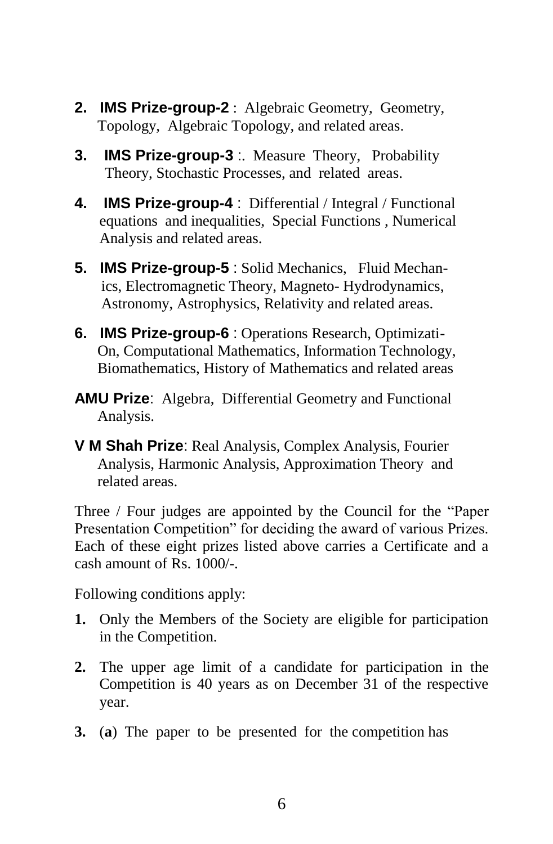- **2. IMS Prize-group-2** : Algebraic Geometry, Geometry, Topology, Algebraic Topology, and related areas.
- **3. IMS Prize-group-3** :. Measure Theory, Probability Theory, Stochastic Processes, and related areas.
- **4. IMS Prize-group-4** : Differential / Integral / Functional equations and inequalities, Special Functions , Numerical Analysis and related areas.
- **5. IMS Prize-group-5** : Solid Mechanics, Fluid Mechan ics, Electromagnetic Theory, Magneto- Hydrodynamics, Astronomy, Astrophysics, Relativity and related areas.
- **6. IMS Prize-group-6** : Operations Research, Optimizati- On, Computational Mathematics, Information Technology, Biomathematics, History of Mathematics and related areas
- **AMU Prize**: Algebra, Differential Geometry and Functional Analysis.
- **V M Shah Prize**: Real Analysis, Complex Analysis, Fourier Analysis, Harmonic Analysis, Approximation Theory and related areas.

Three / Four judges are appointed by the Council for the "Paper Presentation Competition" for deciding the award of various Prizes. Each of these eight prizes listed above carries a Certificate and a cash amount of Rs. 1000/-.

Following conditions apply:

- **1.** Only the Members of the Society are eligible for participation in the Competition.
- **2.** The upper age limit of a candidate for participation in the Competition is 40 years as on December 31 of the respective year.
- **3.** (**a**) The paper to be presented for the competition has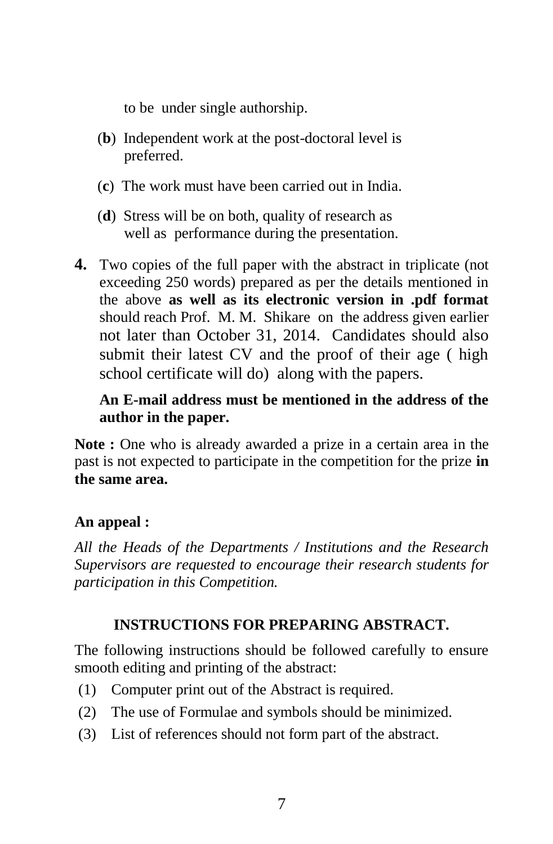to be under single authorship.

- (**b**) Independent work at the post-doctoral level is preferred.
- (**c**) The work must have been carried out in India.
- (**d**) Stress will be on both, quality of research as well as performance during the presentation.
- **4.** Two copies of the full paper with the abstract in triplicate (not exceeding 250 words) prepared as per the details mentioned in the above **as well as its electronic version in .pdf format** should reach Prof. M. M. Shikare on the address given earlier not later than October 31, 2014.Candidates should also submit their latest CV and the proof of their age ( high school certificate will do) along with the papers.

## **An E-mail address must be mentioned in the address of the author in the paper.**

**Note :** One who is already awarded a prize in a certain area in the past is not expected to participate in the competition for the prize **in the same area.**

## **An appeal :**

*All the Heads of the Departments / Institutions and the Research Supervisors are requested to encourage their research students for participation in this Competition.*

## **INSTRUCTIONS FOR PREPARING ABSTRACT.**

The following instructions should be followed carefully to ensure smooth editing and printing of the abstract:

- (1) Computer print out of the Abstract is required.
- (2) The use of Formulae and symbols should be minimized.
- (3) List of references should not form part of the abstract.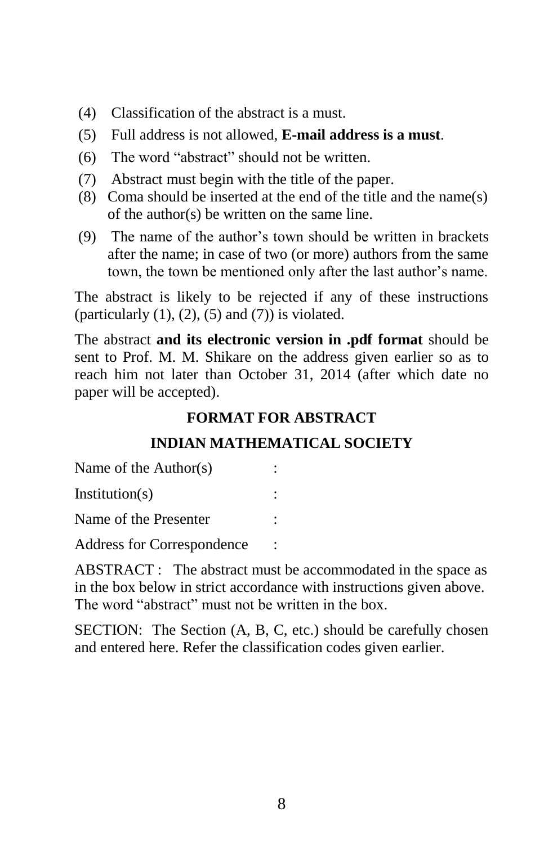- (4) Classification of the abstract is a must.
- (5) Full address is not allowed, **E-mail address is a must**.
- (6) The word "abstract" should not be written.
- (7) Abstract must begin with the title of the paper.
- (8) Coma should be inserted at the end of the title and the name(s) of the author(s) be written on the same line.
- (9) The name of the author"s town should be written in brackets after the name; in case of two (or more) authors from the same town, the town be mentioned only after the last author's name.

The abstract is likely to be rejected if any of these instructions (particularly  $(1)$ ,  $(2)$ ,  $(5)$  and  $(7)$ ) is violated.

The abstract **and its electronic version in .pdf format** should be sent to Prof. M. M. Shikare on the address given earlier so as to reach him not later than October 31, 2014 (after which date no paper will be accepted).

#### **FORMAT FOR ABSTRACT**

#### **INDIAN MATHEMATICAL SOCIETY**

| Name of the Author(s)      |  |
|----------------------------|--|
| Institution(s)             |  |
| Name of the Presenter      |  |
| Address for Correspondence |  |

ABSTRACT : The abstract must be accommodated in the space as in the box below in strict accordance with instructions given above. The word "abstract" must not be written in the box.

SECTION: The Section (A, B, C, etc.) should be carefully chosen and entered here. Refer the classification codes given earlier.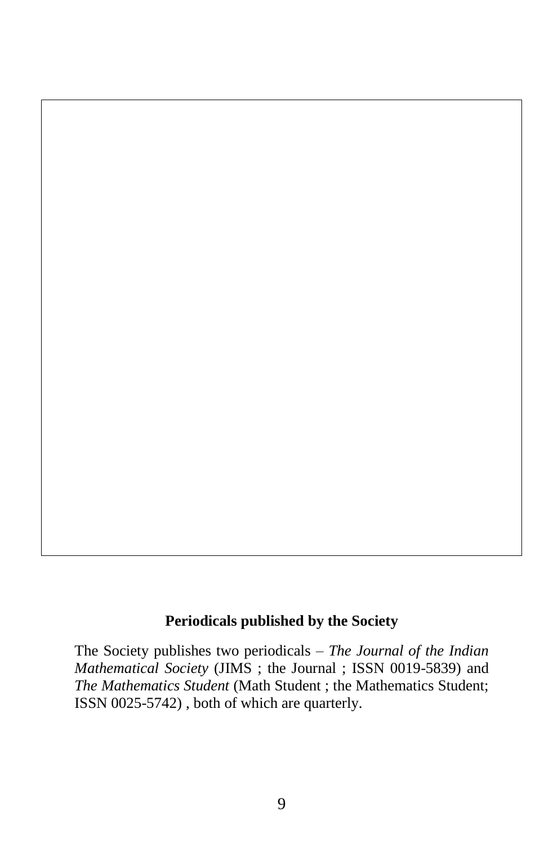## **Periodicals published by the Society**

The Society publishes two periodicals – *The Journal of the Indian Mathematical Society* (JIMS ; the Journal ; ISSN 0019-5839) and *The Mathematics Student* (Math Student ; the Mathematics Student; ISSN 0025-5742) , both of which are quarterly.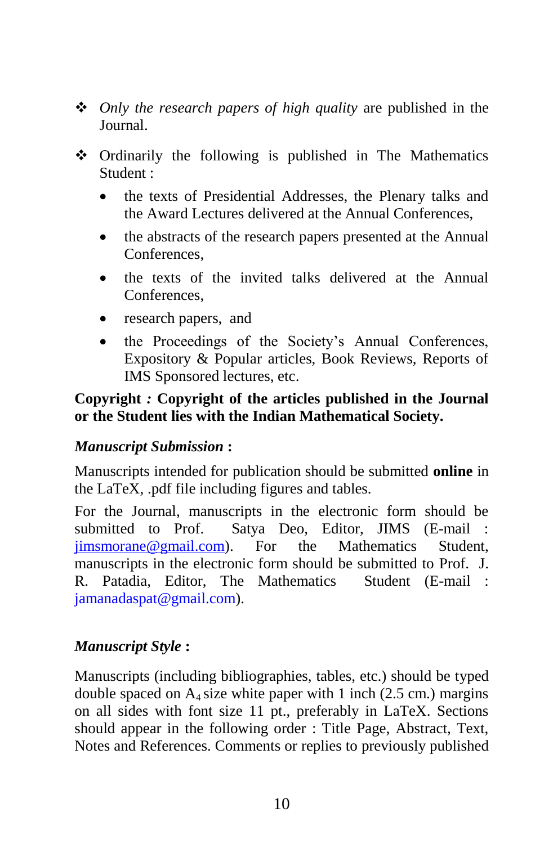- *Only the research papers of high quality* are published in the Journal.
- Ordinarily the following is published in The Mathematics Student :
	- the texts of Presidential Addresses, the Plenary talks and the Award Lectures delivered at the Annual Conferences,
	- the abstracts of the research papers presented at the Annual Conferences,
	- the texts of the invited talks delivered at the Annual Conferences,
	- research papers, and
	- the Proceedings of the Society"s Annual Conferences, Expository & Popular articles, Book Reviews, Reports of IMS Sponsored lectures, etc.

## **Copyright** *:* **Copyright of the articles published in the Journal or the Student lies with the Indian Mathematical Society.**

## *Manuscript Submission* **:**

Manuscripts intended for publication should be submitted **online** in the LaTeX, .pdf file including figures and tables.

For the Journal, manuscripts in the electronic form should be submitted to Prof. Satya Deo, Editor, JIMS (E-mail : [jimsmorane@gmail.com\)](mailto:jimsmorane@gmail.com). For the Mathematics Student, manuscripts in the electronic form should be submitted to Prof. J. R. Patadia, Editor, The Mathematics Student (E-mail : [jamanadaspat@gmail.com\)](mailto:jamanadaspat@gmail.com).

## *Manuscript Style* **:**

Manuscripts (including bibliographies, tables, etc.) should be typed double spaced on  $A_4$  size white paper with 1 inch (2.5 cm.) margins on all sides with font size 11 pt., preferably in LaTeX. Sections should appear in the following order : Title Page, Abstract, Text, Notes and References. Comments or replies to previously published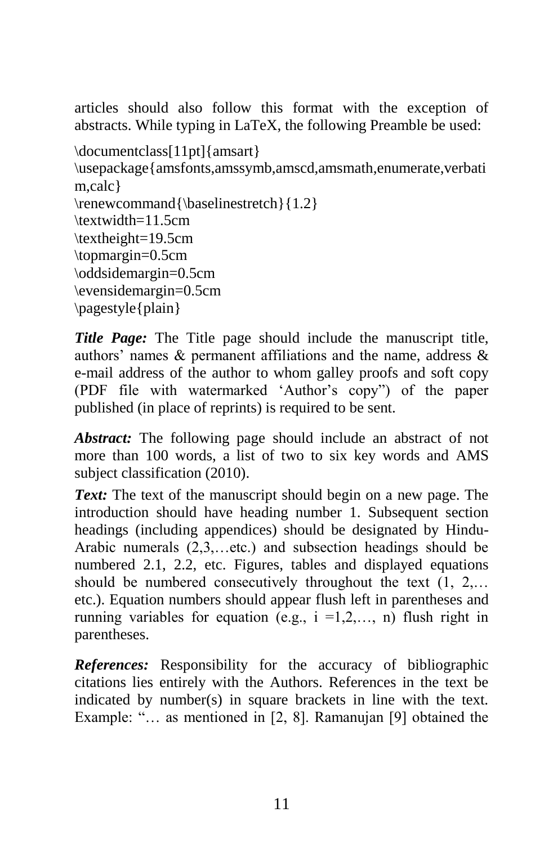articles should also follow this format with the exception of abstracts. While typing in LaTeX, the following Preamble be used:

```
\documentclass[11pt]{amsart} 
\usepackage{amsfonts,amssymb,amscd,amsmath,enumerate,verbati
m,calc} 
\renewcommand{\baselinestretch}{1.2} 
\textwidth=11.5cm 
\textheight=19.5cm 
\topmargin=0.5cm 
\oddsidemargin=0.5cm 
\evensidemargin=0.5cm 
\pagestyle{plain}
```
*Title Page:* The Title page should include the manuscript title, authors' names  $\&$  permanent affiliations and the name, address  $\&$ e-mail address of the author to whom galley proofs and soft copy (PDF file with watermarked "Author"s copy") of the paper published (in place of reprints) is required to be sent.

*Abstract:* The following page should include an abstract of not more than 100 words, a list of two to six key words and AMS subject classification (2010).

*Text:* The text of the manuscript should begin on a new page. The introduction should have heading number 1. Subsequent section headings (including appendices) should be designated by Hindu-Arabic numerals (2,3,…etc.) and subsection headings should be numbered 2.1, 2.2, etc. Figures, tables and displayed equations should be numbered consecutively throughout the text (1, 2,… etc.). Equation numbers should appear flush left in parentheses and running variables for equation (e.g.,  $i = 1, 2, \ldots, n$ ) flush right in parentheses.

*References:* Responsibility for the accuracy of bibliographic citations lies entirely with the Authors. References in the text be indicated by number(s) in square brackets in line with the text. Example: "... as mentioned in [2, 8]. Ramanujan [9] obtained the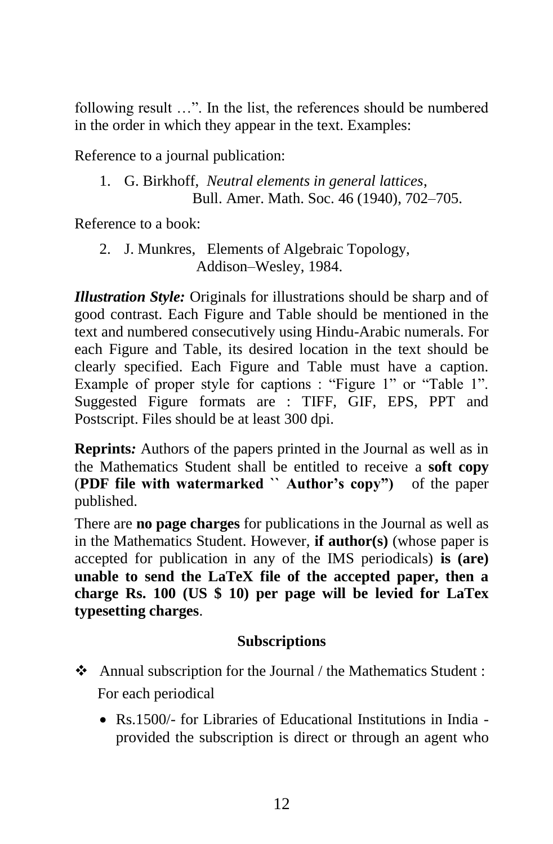following result …". In the list, the references should be numbered in the order in which they appear in the text. Examples:

Reference to a journal publication:

1. G. Birkhoff, *Neutral elements in general lattices*, Bull. Amer. Math. Soc. 46 (1940), 702–705.

Reference to a book:

2. J. Munkres, Elements of Algebraic Topology, Addison–Wesley, 1984.

*Illustration Style:* Originals for illustrations should be sharp and of good contrast. Each Figure and Table should be mentioned in the text and numbered consecutively using Hindu-Arabic numerals. For each Figure and Table, its desired location in the text should be clearly specified. Each Figure and Table must have a caption. Example of proper style for captions : "Figure 1" or "Table 1". Suggested Figure formats are : TIFF, GIF, EPS, PPT and Postscript. Files should be at least 300 dpi.

**Reprints***:* Authors of the papers printed in the Journal as well as in the Mathematics Student shall be entitled to receive a **soft copy** (**PDF file with watermarked `` Author's copy")** of the paper published.

There are **no page charges** for publications in the Journal as well as in the Mathematics Student. However, **if author(s)** (whose paper is accepted for publication in any of the IMS periodicals) **is (are) unable to send the LaTeX file of the accepted paper, then a charge Rs. 100 (US \$ 10) per page will be levied for LaTex typesetting charges**.

#### **Subscriptions**

- Annual subscription for the Journal / the Mathematics Student : For each periodical
	- Rs.1500/- for Libraries of Educational Institutions in India provided the subscription is direct or through an agent who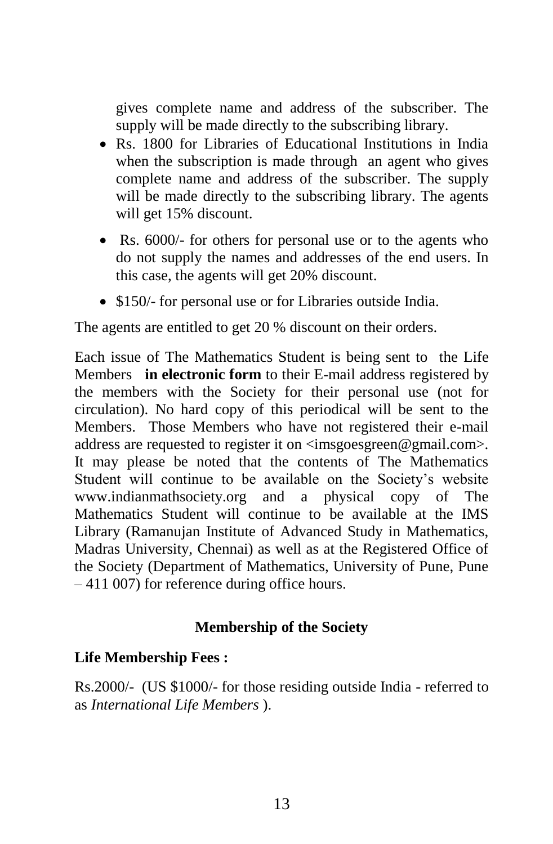gives complete name and address of the subscriber. The supply will be made directly to the subscribing library.

- Rs. 1800 for Libraries of Educational Institutions in India when the subscription is made through an agent who gives complete name and address of the subscriber. The supply will be made directly to the subscribing library. The agents will get 15% discount.
- Rs. 6000/- for others for personal use or to the agents who do not supply the names and addresses of the end users. In this case, the agents will get 20% discount.
- \$150/- for personal use or for Libraries outside India.

The agents are entitled to get 20 % discount on their orders.

Each issue of The Mathematics Student is being sent to the Life Members **in electronic form** to their E-mail address registered by the members with the Society for their personal use (not for circulation). No hard copy of this periodical will be sent to the Members. Those Members who have not registered their e-mail address are requested to register it on  $\langle \text{imsgoesgreen} \mathcal{Q} \text{gmail.com} \rangle$ . It may please be noted that the contents of The Mathematics Student will continue to be available on the Society"s website www.indianmathsociety.org and a physical copy of The Mathematics Student will continue to be available at the IMS Library (Ramanujan Institute of Advanced Study in Mathematics, Madras University, Chennai) as well as at the Registered Office of the Society (Department of Mathematics, University of Pune, Pune – 411 007) for reference during office hours.

#### **Membership of the Society**

#### **Life Membership Fees :**

Rs.2000/- (US \$1000/- for those residing outside India - referred to as *International Life Members* ).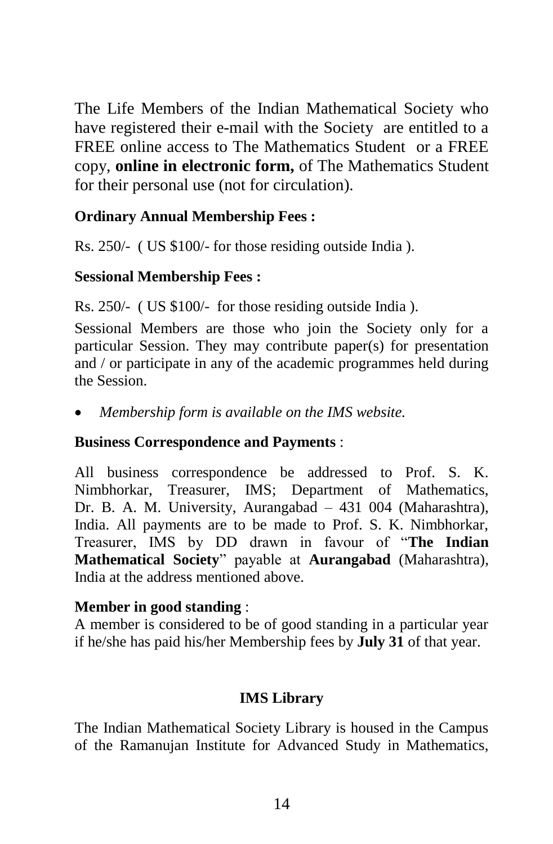The Life Members of the Indian Mathematical Society who have registered their e-mail with the Society are entitled to a FREE online access to The Mathematics Student or a FREE copy, **online in electronic form,** of The Mathematics Student for their personal use (not for circulation).

## **Ordinary Annual Membership Fees :**

Rs. 250/- ( US \$100/- for those residing outside India ).

## **Sessional Membership Fees :**

Rs. 250/- ( US \$100/- for those residing outside India ).

Sessional Members are those who join the Society only for a particular Session. They may contribute paper(s) for presentation and / or participate in any of the academic programmes held during the Session.

*Membership form is available on the IMS website.*

## **Business Correspondence and Payments** :

All business correspondence be addressed to Prof. S. K. Nimbhorkar, Treasurer, IMS; Department of Mathematics, Dr. B. A. M. University, Aurangabad – 431 004 (Maharashtra), India. All payments are to be made to Prof. S. K. Nimbhorkar, Treasurer, IMS by DD drawn in favour of "**The Indian Mathematical Society**" payable at **Aurangabad** (Maharashtra), India at the address mentioned above.

#### **Member in good standing** :

A member is considered to be of good standing in a particular year if he/she has paid his/her Membership fees by **July 31** of that year.

#### **IMS Library**

The Indian Mathematical Society Library is housed in the Campus of the Ramanujan Institute for Advanced Study in Mathematics,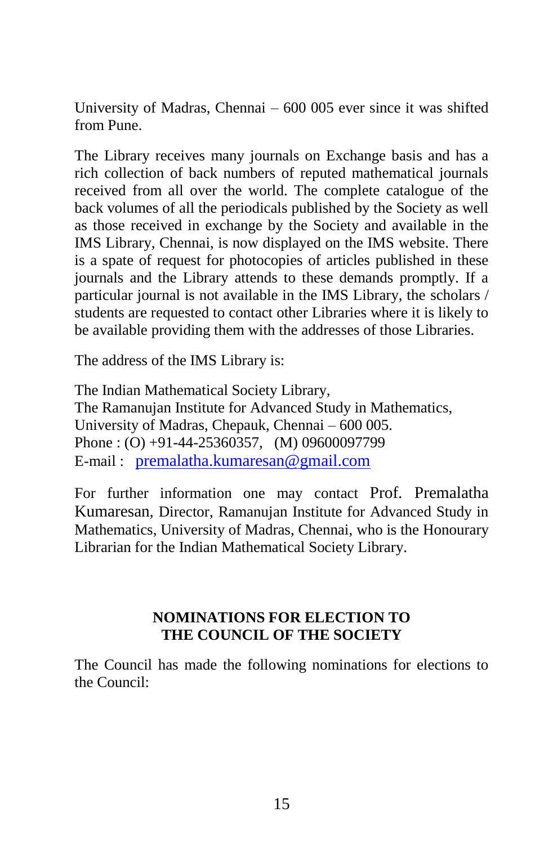University of Madras, Chennai – 600 005 ever since it was shifted from Pune.

The Library receives many journals on Exchange basis and has a rich collection of back numbers of reputed mathematical journals received from all over the world. The complete catalogue of the back volumes of all the periodicals published by the Society as well as those received in exchange by the Society and available in the IMS Library, Chennai, is now displayed on the IMS website. There is a spate of request for photocopies of articles published in these journals and the Library attends to these demands promptly. If a particular journal is not available in the IMS Library, the scholars / students are requested to contact other Libraries where it is likely to be available providing them with the addresses of those Libraries.

The address of the IMS Library is:

The Indian Mathematical Society Library, The Ramanujan Institute for Advanced Study in Mathematics, University of Madras, Chepauk, Chennai – 600 005. Phone : (O) +91-44-25360357, (M) 09600097799 E-mail : [premalatha.kumaresan@gmail.com](mailto:premalatha.kumaresan@gmail.com)

For further information one may contact Prof. Premalatha Kumaresan, Director, Ramanujan Institute for Advanced Study in Mathematics, University of Madras, Chennai, who is the Honourary Librarian for the Indian Mathematical Society Library.

## **NOMINATIONS FOR ELECTION TO THE COUNCIL OF THE SOCIETY**

The Council has made the following nominations for elections to the Council: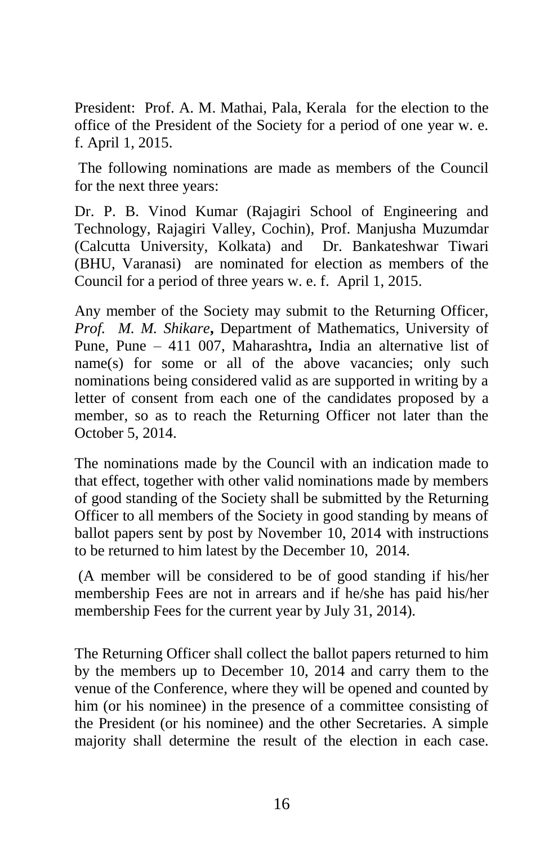President: Prof. A. M. Mathai, Pala, Kerala for the election to the office of the President of the Society for a period of one year w. e. f. April 1, 2015.

The following nominations are made as members of the Council for the next three years:

Dr. P. B. Vinod Kumar (Rajagiri School of Engineering and Technology, Rajagiri Valley, Cochin), Prof. Manjusha Muzumdar (Calcutta University, Kolkata) and Dr. Bankateshwar Tiwari (BHU, Varanasi) are nominated for election as members of the Council for a period of three years w. e. f. April 1, 2015.

Any member of the Society may submit to the Returning Officer, *Prof. M. M. Shikare***,** Department of Mathematics, University of Pune, Pune – 411 007, Maharashtra**,** India an alternative list of name(s) for some or all of the above vacancies; only such nominations being considered valid as are supported in writing by a letter of consent from each one of the candidates proposed by a member, so as to reach the Returning Officer not later than the October 5, 2014.

The nominations made by the Council with an indication made to that effect, together with other valid nominations made by members of good standing of the Society shall be submitted by the Returning Officer to all members of the Society in good standing by means of ballot papers sent by post by November 10, 2014 with instructions to be returned to him latest by the December 10, 2014.

(A member will be considered to be of good standing if his/her membership Fees are not in arrears and if he/she has paid his/her membership Fees for the current year by July 31, 2014).

The Returning Officer shall collect the ballot papers returned to him by the members up to December 10, 2014 and carry them to the venue of the Conference, where they will be opened and counted by him (or his nominee) in the presence of a committee consisting of the President (or his nominee) and the other Secretaries. A simple majority shall determine the result of the election in each case.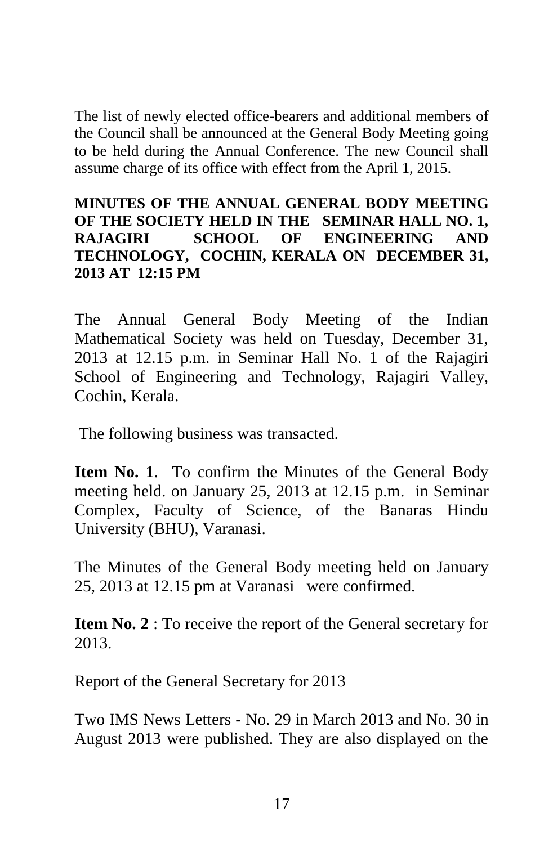The list of newly elected office-bearers and additional members of the Council shall be announced at the General Body Meeting going to be held during the Annual Conference. The new Council shall assume charge of its office with effect from the April 1, 2015.

## **MINUTES OF THE ANNUAL GENERAL BODY MEETING OF THE SOCIETY HELD IN THE SEMINAR HALL NO. 1, RAJAGIRI SCHOOL OF ENGINEERING AND TECHNOLOGY, COCHIN, KERALA ON DECEMBER 31, 2013 AT 12:15 PM**

The Annual General Body Meeting of the Indian Mathematical Society was held on Tuesday, December 31, 2013 at 12.15 p.m. in Seminar Hall No. 1 of the Rajagiri School of Engineering and Technology, Rajagiri Valley, Cochin, Kerala.

The following business was transacted.

**Item No. 1**. To confirm the Minutes of the General Body meeting held. on January 25, 2013 at 12.15 p.m. in Seminar Complex, Faculty of Science, of the Banaras Hindu University (BHU), Varanasi.

The Minutes of the General Body meeting held on January 25, 2013 at 12.15 pm at Varanasi were confirmed.

**Item No. 2** : To receive the report of the General secretary for 2013.

Report of the General Secretary for 2013

Two IMS News Letters - No. 29 in March 2013 and No. 30 in August 2013 were published. They are also displayed on the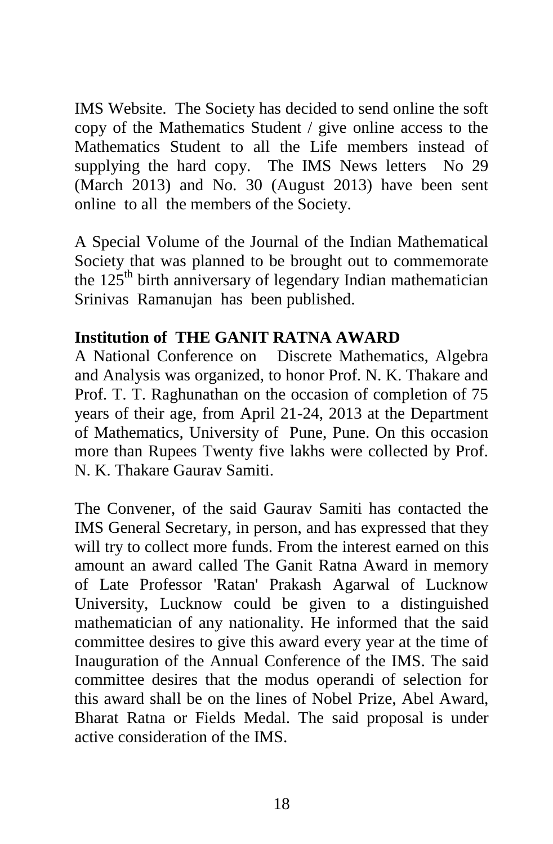IMS Website. The Society has decided to send online the soft copy of the Mathematics Student / give online access to the Mathematics Student to all the Life members instead of supplying the hard copy. The IMS News letters No 29 (March 2013) and No. 30 (August 2013) have been sent online to all the members of the Society.

A Special Volume of the Journal of the Indian Mathematical Society that was planned to be brought out to commemorate the 125<sup>th</sup> birth anniversary of legendary Indian mathematician Srinivas Ramanujan has been published.

## **Institution of THE GANIT RATNA AWARD**

A National Conference on Discrete Mathematics, Algebra and Analysis was organized, to honor Prof. N. K. Thakare and Prof. T. T. Raghunathan on the occasion of completion of 75 years of their age, from April 21-24, 2013 at the Department of Mathematics, University of Pune, Pune. On this occasion more than Rupees Twenty five lakhs were collected by Prof. N. K. Thakare Gaurav Samiti.

The Convener, of the said Gaurav Samiti has contacted the IMS General Secretary, in person, and has expressed that they will try to collect more funds. From the interest earned on this amount an award called The Ganit Ratna Award in memory of Late Professor 'Ratan' Prakash Agarwal of Lucknow University, Lucknow could be given to a distinguished mathematician of any nationality. He informed that the said committee desires to give this award every year at the time of Inauguration of the Annual Conference of the IMS. The said committee desires that the modus operandi of selection for this award shall be on the lines of Nobel Prize, Abel Award, Bharat Ratna or Fields Medal. The said proposal is under active consideration of the IMS.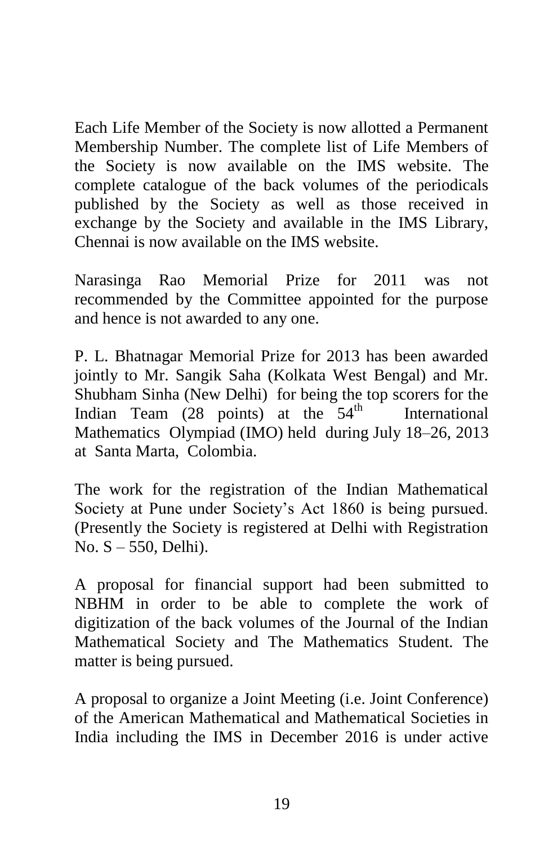Each Life Member of the Society is now allotted a Permanent Membership Number. The complete list of Life Members of the Society is now available on the IMS website. The complete catalogue of the back volumes of the periodicals published by the Society as well as those received in exchange by the Society and available in the IMS Library, Chennai is now available on the IMS website.

Narasinga Rao Memorial Prize for 2011 was not recommended by the Committee appointed for the purpose and hence is not awarded to any one.

P. L. Bhatnagar Memorial Prize for 2013 has been awarded jointly to Mr. Sangik Saha (Kolkata West Bengal) and Mr. Shubham Sinha (New Delhi) for being the top scorers for the Indian Team  $(28 \text{ points})$  at the  $54^{\text{th}}$  International Mathematics Olympiad (IMO) held during July 18–26, 2013 at Santa Marta, Colombia.

The work for the registration of the Indian Mathematical Society at Pune under Society"s Act 1860 is being pursued. (Presently the Society is registered at Delhi with Registration No. S – 550, Delhi).

A proposal for financial support had been submitted to NBHM in order to be able to complete the work of digitization of the back volumes of the Journal of the Indian Mathematical Society and The Mathematics Student. The matter is being pursued.

A proposal to organize a Joint Meeting (i.e. Joint Conference) of the American Mathematical and Mathematical Societies in India including the IMS in December 2016 is under active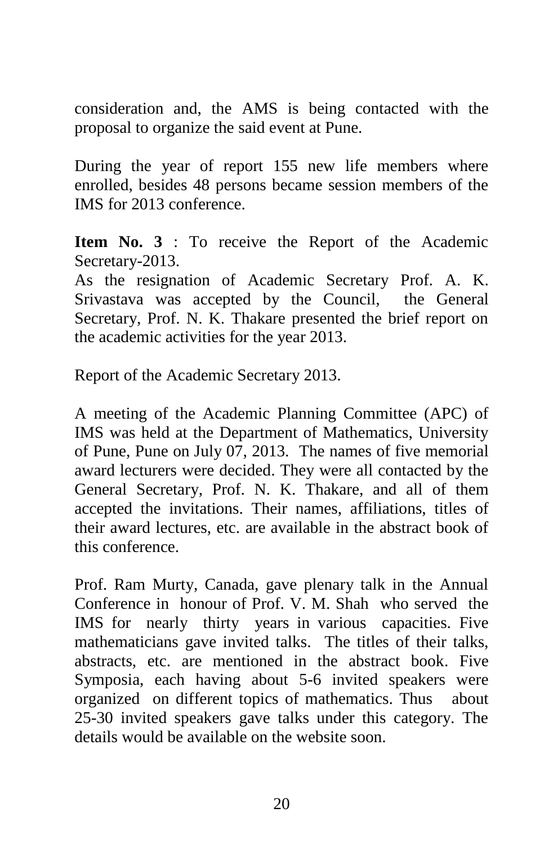consideration and, the AMS is being contacted with the proposal to organize the said event at Pune.

During the year of report 155 new life members where enrolled, besides 48 persons became session members of the IMS for 2013 conference.

**Item No. 3** : To receive the Report of the Academic Secretary-2013.

As the resignation of Academic Secretary Prof. A. K. Srivastava was accepted by the Council, the General Secretary, Prof. N. K. Thakare presented the brief report on the academic activities for the year 2013.

Report of the Academic Secretary 2013.

A meeting of the Academic Planning Committee (APC) of IMS was held at the Department of Mathematics, University of Pune, Pune on July 07, 2013. The names of five memorial award lecturers were decided. They were all contacted by the General Secretary, Prof. N. K. Thakare, and all of them accepted the invitations. Their names, affiliations, titles of their award lectures, etc. are available in the abstract book of this conference.

Prof. Ram Murty, Canada, gave plenary talk in the Annual Conference in honour of Prof. V. M. Shah who served the IMS for nearly thirty years in various capacities. Five mathematicians gave invited talks. The titles of their talks, abstracts, etc. are mentioned in the abstract book. Five Symposia, each having about 5-6 invited speakers were organized on different topics of mathematics. Thus about 25-30 invited speakers gave talks under this category. The details would be available on the website soon.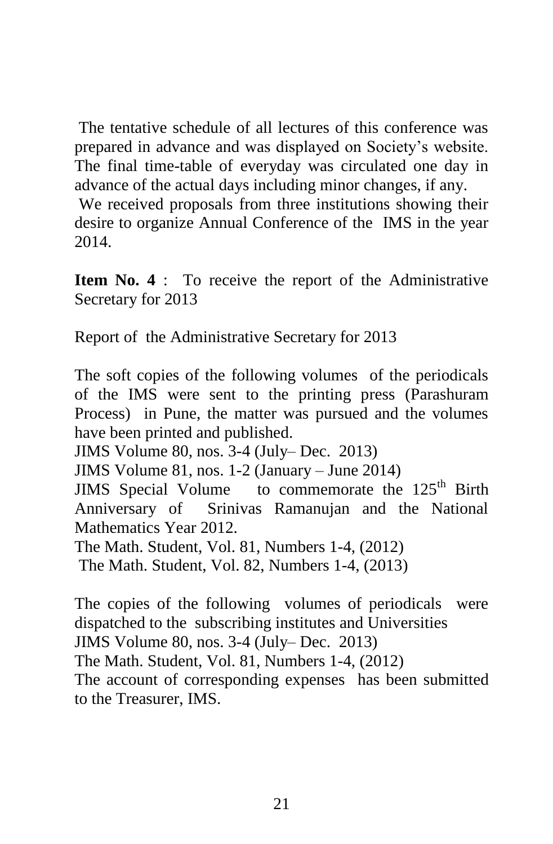The tentative schedule of all lectures of this conference was prepared in advance and was displayed on Society"s website. The final time-table of everyday was circulated one day in advance of the actual days including minor changes, if any.

We received proposals from three institutions showing their desire to organize Annual Conference of the IMS in the year 2014.

**Item No. 4** : To receive the report of the Administrative Secretary for 2013

Report of the Administrative Secretary for 2013

The soft copies of the following volumes of the periodicals of the IMS were sent to the printing press (Parashuram Process) in Pune, the matter was pursued and the volumes have been printed and published.

JIMS Volume 80, nos. 3-4 (July– Dec. 2013)

JIMS Volume 81, nos. 1-2 (January – June 2014)

JIMS Special Volume to commemorate the  $125<sup>th</sup>$  Birth Anniversary of Srinivas Ramanujan and the National Mathematics Year 2012.

The Math. Student, Vol. 81, Numbers 1-4, (2012)

The Math. Student, Vol. 82, Numbers 1-4, (2013)

The copies of the following volumes of periodicals were dispatched to the subscribing institutes and Universities JIMS Volume 80, nos. 3-4 (July– Dec. 2013) The Math. Student, Vol. 81, Numbers 1-4, (2012) The account of corresponding expenses has been submitted to the Treasurer, IMS.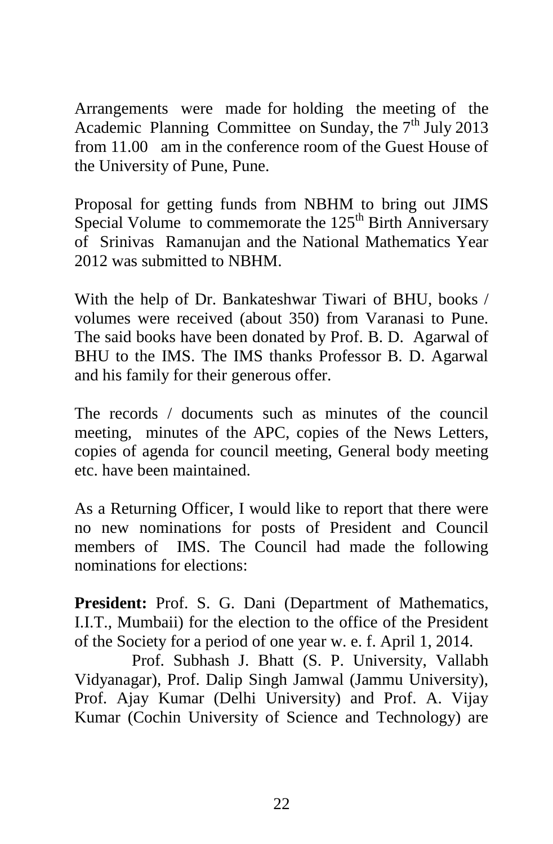Arrangements were made for holding the meeting of the Academic Planning Committee on Sunday, the  $7<sup>th</sup>$  July 2013 from 11.00 am in the conference room of the Guest House of the University of Pune, Pune.

Proposal for getting funds from NBHM to bring out JIMS Special Volume to commemorate the 125<sup>th</sup> Birth Anniversary of Srinivas Ramanujan and the National Mathematics Year 2012 was submitted to NBHM.

With the help of Dr. Bankateshwar Tiwari of BHU, books / volumes were received (about 350) from Varanasi to Pune. The said books have been donated by Prof. B. D. Agarwal of BHU to the IMS. The IMS thanks Professor B. D. Agarwal and his family for their generous offer.

The records / documents such as minutes of the council meeting, minutes of the APC, copies of the News Letters, copies of agenda for council meeting, General body meeting etc. have been maintained.

As a Returning Officer, I would like to report that there were no new nominations for posts of President and Council members of IMS. The Council had made the following nominations for elections:

**President:** Prof. S. G. Dani (Department of Mathematics, I.I.T., Mumbaii) for the election to the office of the President of the Society for a period of one year w. e. f. April 1, 2014.

 Prof. Subhash J. Bhatt (S. P. University, Vallabh Vidyanagar), Prof. Dalip Singh Jamwal (Jammu University), Prof. Ajay Kumar (Delhi University) and Prof. A. Vijay Kumar (Cochin University of Science and Technology) are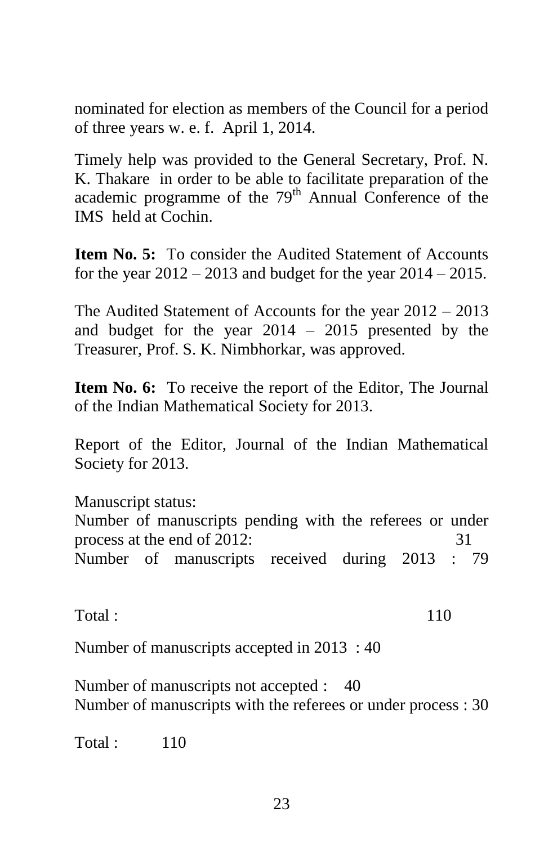nominated for election as members of the Council for a period of three years w. e. f. April 1, 2014.

Timely help was provided to the General Secretary, Prof. N. K. Thakare in order to be able to facilitate preparation of the academic programme of the  $79<sup>th</sup>$  Annual Conference of the IMS held at Cochin.

**Item No. 5:** To consider the Audited Statement of Accounts for the year  $2012 - 2013$  and budget for the year  $2014 - 2015$ .

The Audited Statement of Accounts for the year 2012 – 2013 and budget for the year 2014 – 2015 presented by the Treasurer, Prof. S. K. Nimbhorkar, was approved.

**Item No. 6:** To receive the report of the Editor, The Journal of the Indian Mathematical Society for 2013.

Report of the Editor, Journal of the Indian Mathematical Society for 2013.

Manuscript status: Number of manuscripts pending with the referees or under process at the end of 2012: 31 Number of manuscripts received during 2013 : 79

Total : 110

Number of manuscripts accepted in 2013 : 40

Number of manuscripts not accepted : 40 Number of manuscripts with the referees or under process : 30

 $Total: 110$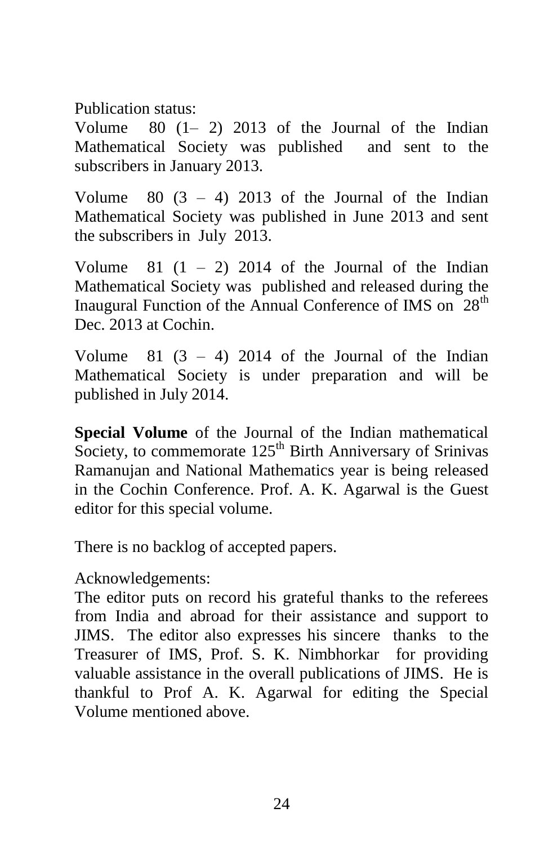Publication status:

Volume 80 (1– 2) 2013 of the Journal of the Indian Mathematical Society was published and sent to the subscribers in January 2013.

Volume  $80 (3 - 4) 2013$  of the Journal of the Indian Mathematical Society was published in June 2013 and sent the subscribers in July 2013.

Volume 81  $(1 - 2)$  2014 of the Journal of the Indian Mathematical Society was published and released during the Inaugural Function of the Annual Conference of IMS on 28<sup>th</sup> Dec. 2013 at Cochin.

Volume  $81 (3 - 4) 2014$  of the Journal of the Indian Mathematical Society is under preparation and will be published in July 2014.

**Special Volume** of the Journal of the Indian mathematical Society, to commemorate 125<sup>th</sup> Birth Anniversary of Srinivas Ramanujan and National Mathematics year is being released in the Cochin Conference. Prof. A. K. Agarwal is the Guest editor for this special volume.

There is no backlog of accepted papers.

Acknowledgements:

The editor puts on record his grateful thanks to the referees from India and abroad for their assistance and support to JIMS. The editor also expresses his sincere thanks to the Treasurer of IMS, Prof. S. K. Nimbhorkar for providing valuable assistance in the overall publications of JIMS. He is thankful to Prof A. K. Agarwal for editing the Special Volume mentioned above.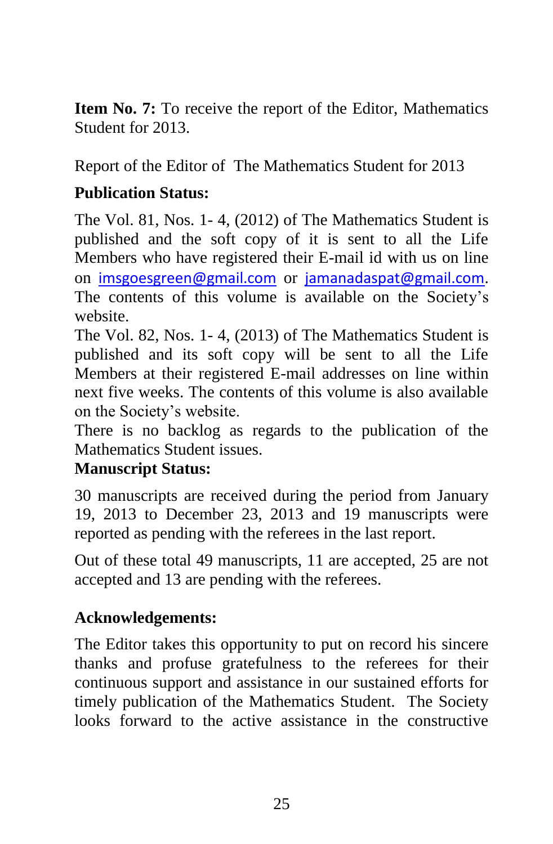**Item No. 7:** To receive the report of the Editor, Mathematics Student for 2013.

Report of the Editor of The Mathematics Student for 2013

# **Publication Status:**

The Vol. 81, Nos. 1- 4, (2012) of The Mathematics Student is published and the soft copy of it is sent to all the Life Members who have registered their E-mail id with us on line on [imsgoesgreen@gmail.com](mailto:imsgoesgreen@gmail.com) or [jamanadaspat@gmail.com](mailto:jamanadaspat@gmail.com). The contents of this volume is available on the Society"s website.

The Vol. 82, Nos. 1- 4, (2013) of The Mathematics Student is published and its soft copy will be sent to all the Life Members at their registered E-mail addresses on line within next five weeks. The contents of this volume is also available on the Society"s website.

There is no backlog as regards to the publication of the Mathematics Student issues.

# **Manuscript Status:**

30 manuscripts are received during the period from January 19, 2013 to December 23, 2013 and 19 manuscripts were reported as pending with the referees in the last report.

Out of these total 49 manuscripts, 11 are accepted, 25 are not accepted and 13 are pending with the referees.

# **Acknowledgements:**

The Editor takes this opportunity to put on record his sincere thanks and profuse gratefulness to the referees for their continuous support and assistance in our sustained efforts for timely publication of the Mathematics Student. The Society looks forward to the active assistance in the constructive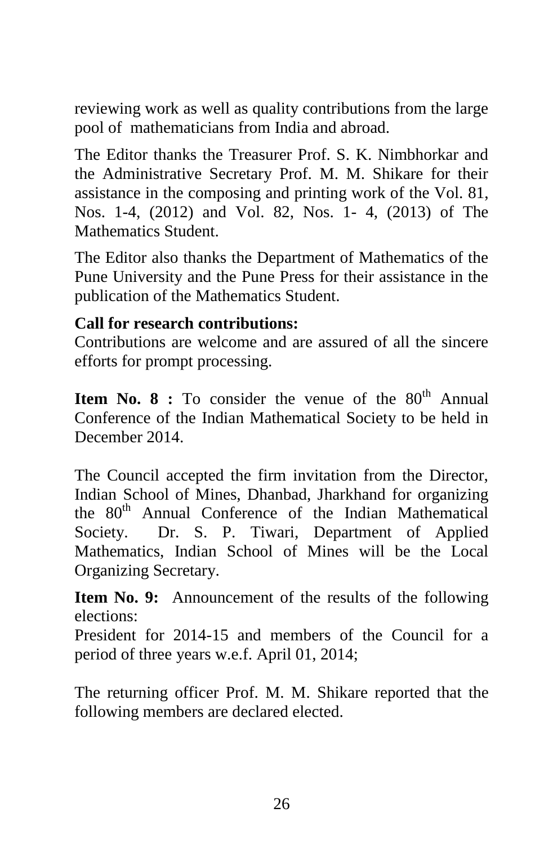reviewing work as well as quality contributions from the large pool of mathematicians from India and abroad.

The Editor thanks the Treasurer Prof. S. K. Nimbhorkar and the Administrative Secretary Prof. M. M. Shikare for their assistance in the composing and printing work of the Vol. 81, Nos. 1-4, (2012) and Vol. 82, Nos. 1- 4, (2013) of The Mathematics Student.

The Editor also thanks the Department of Mathematics of the Pune University and the Pune Press for their assistance in the publication of the Mathematics Student.

## **Call for research contributions:**

Contributions are welcome and are assured of all the sincere efforts for prompt processing.

**Item No. 8 :** To consider the venue of the  $80<sup>th</sup>$  Annual Conference of the Indian Mathematical Society to be held in December 2014.

The Council accepted the firm invitation from the Director, Indian School of Mines, Dhanbad, Jharkhand for organizing the 80<sup>th</sup> Annual Conference of the Indian Mathematical Society. Dr. S. P. Tiwari, Department of Applied Mathematics, Indian School of Mines will be the Local Organizing Secretary.

**Item No. 9:** Announcement of the results of the following elections:

President for 2014-15 and members of the Council for a period of three years w.e.f. April 01, 2014;

The returning officer Prof. M. M. Shikare reported that the following members are declared elected.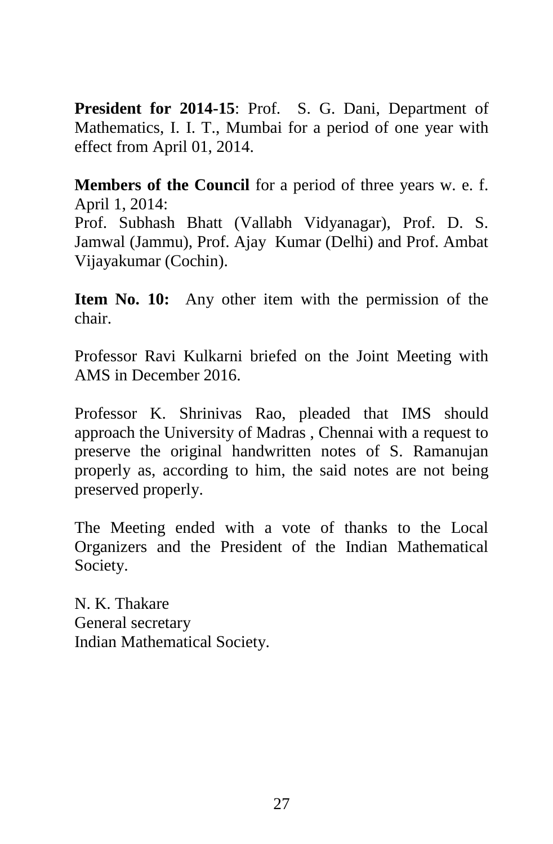**President for 2014-15**: Prof. S. G. Dani, Department of Mathematics, I. I. T., Mumbai for a period of one year with effect from April 01, 2014.

**Members of the Council** for a period of three years w. e. f. April 1, 2014:

Prof. Subhash Bhatt (Vallabh Vidyanagar), Prof. D. S. Jamwal (Jammu), Prof. Ajay Kumar (Delhi) and Prof. Ambat Vijayakumar (Cochin).

**Item No. 10:** Any other item with the permission of the chair.

Professor Ravi Kulkarni briefed on the Joint Meeting with AMS in December 2016.

Professor K. Shrinivas Rao, pleaded that IMS should approach the University of Madras , Chennai with a request to preserve the original handwritten notes of S. Ramanujan properly as, according to him, the said notes are not being preserved properly.

The Meeting ended with a vote of thanks to the Local Organizers and the President of the Indian Mathematical Society.

N. K. Thakare General secretary Indian Mathematical Society.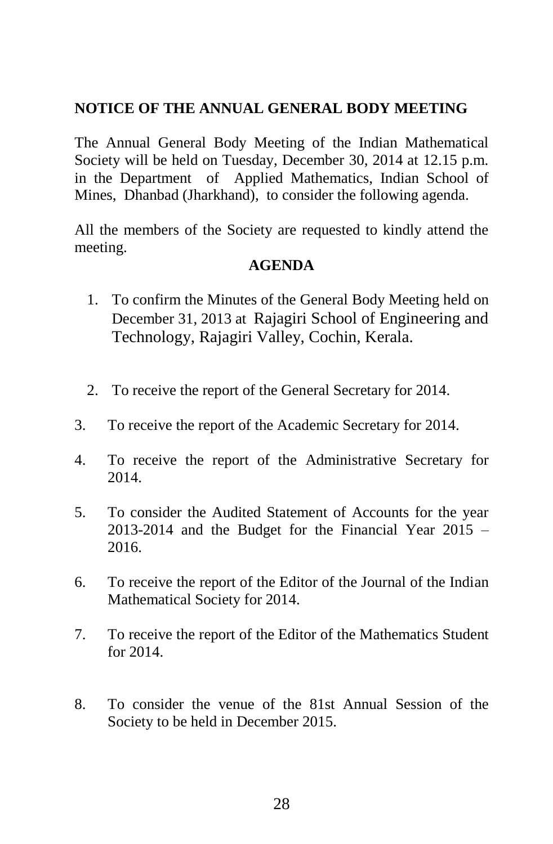#### **NOTICE OF THE ANNUAL GENERAL BODY MEETING**

The Annual General Body Meeting of the Indian Mathematical Society will be held on Tuesday, December 30, 2014 at 12.15 p.m. in the Department of Applied Mathematics, Indian School of Mines, Dhanbad (Jharkhand), to consider the following agenda.

All the members of the Society are requested to kindly attend the meeting.

#### **AGENDA**

- 1. To confirm the Minutes of the General Body Meeting held on December 31, 2013 at Rajagiri School of Engineering and Technology, Rajagiri Valley, Cochin, Kerala.
- 2. To receive the report of the General Secretary for 2014.
- 3. To receive the report of the Academic Secretary for 2014.
- 4. To receive the report of the Administrative Secretary for 2014.
- 5. To consider the Audited Statement of Accounts for the year 2013-2014 and the Budget for the Financial Year 2015 – 2016.
- 6. To receive the report of the Editor of the Journal of the Indian Mathematical Society for 2014.
- 7. To receive the report of the Editor of the Mathematics Student for 2014.
- 8. To consider the venue of the 81st Annual Session of the Society to be held in December 2015.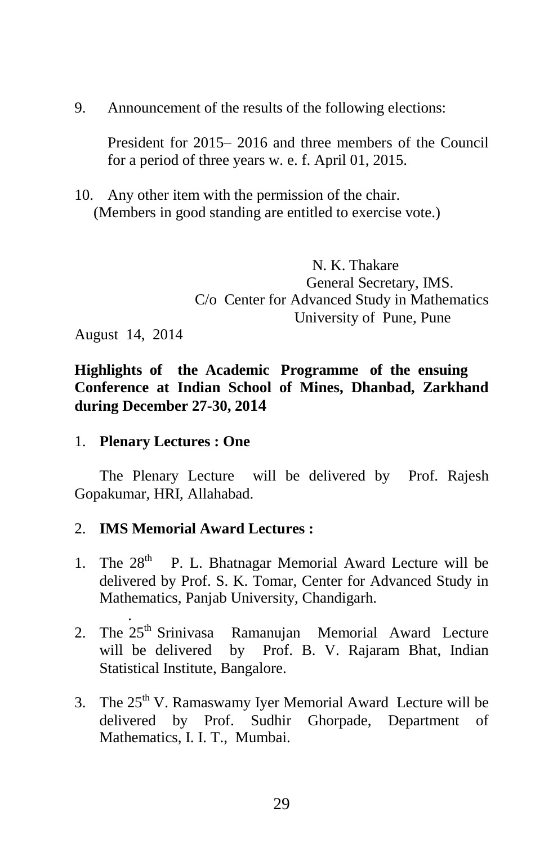9. Announcement of the results of the following elections:

President for 2015– 2016 and three members of the Council for a period of three years w. e. f. April 01, 2015.

10. Any other item with the permission of the chair. (Members in good standing are entitled to exercise vote.)

> N. K. Thakare General Secretary, IMS. C/o Center for Advanced Study in Mathematics University of Pune, Pune

August 14, 2014

.

#### **Highlights of the Academic Programme of the ensuing Conference at Indian School of Mines, Dhanbad, Zarkhand during December 27-30, 2014**

1. **Plenary Lectures : One**

The Plenary Lecture will be delivered by Prof. Rajesh Gopakumar, HRI, Allahabad.

#### 2. **IMS Memorial Award Lectures :**

- 1. The  $28<sup>th</sup>$  P. L. Bhatnagar Memorial Award Lecture will be delivered by Prof. S. K. Tomar, Center for Advanced Study in Mathematics, Panjab University, Chandigarh.
- 2. The 25<sup>th</sup> Srinivasa Ramanujan Memorial Award Lecture will be delivered by Prof. B. V. Rajaram Bhat, Indian Statistical Institute, Bangalore.
- 3. The  $25<sup>th</sup>$  V. Ramaswamy Iyer Memorial Award Lecture will be delivered by Prof. Sudhir Ghorpade, Department of Mathematics, I. I. T., Mumbai.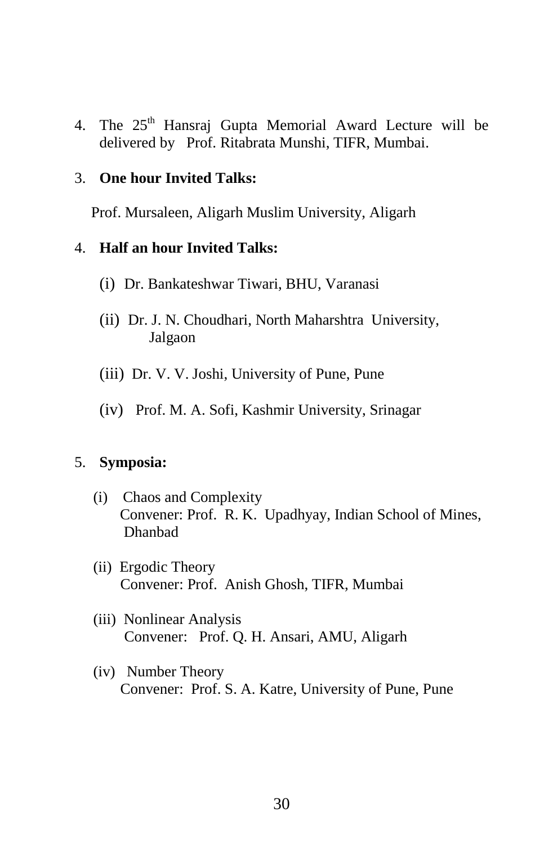4. The 25<sup>th</sup> Hansraj Gupta Memorial Award Lecture will be delivered by Prof. Ritabrata Munshi, TIFR, Mumbai.

#### 3. **One hour Invited Talks:**

Prof. Mursaleen, Aligarh Muslim University, Aligarh

#### 4. **Half an hour Invited Talks:**

- (i) Dr. Bankateshwar Tiwari, BHU, Varanasi
- (ii) Dr. J. N. Choudhari, North Maharshtra University, Jalgaon
- (iii) Dr. V. V. Joshi, University of Pune, Pune
- (iv) Prof. M. A. Sofi, Kashmir University, Srinagar

#### 5. **Symposia:**

- (i) Chaos and Complexity Convener: Prof. R. K. Upadhyay, Indian School of Mines, Dhanbad
- (ii) Ergodic Theory Convener: Prof. Anish Ghosh, TIFR, Mumbai
- (iii) Nonlinear Analysis Convener: Prof. Q. H. Ansari, AMU, Aligarh
- (iv) Number Theory Convener: Prof. S. A. Katre, University of Pune, Pune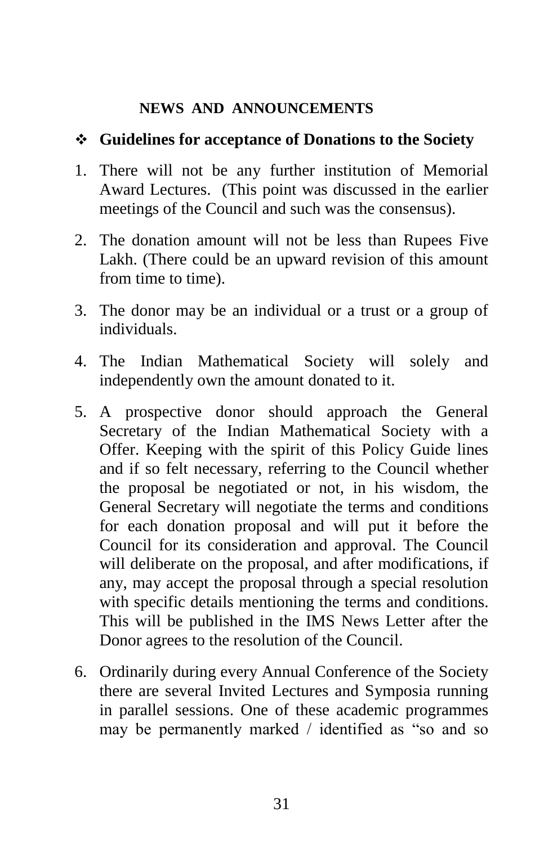## **NEWS AND ANNOUNCEMENTS**

# **Guidelines for acceptance of Donations to the Society**

- 1. There will not be any further institution of Memorial Award Lectures. (This point was discussed in the earlier meetings of the Council and such was the consensus).
- 2. The donation amount will not be less than Rupees Five Lakh. (There could be an upward revision of this amount from time to time).
- 3. The donor may be an individual or a trust or a group of individuals.
- 4. The Indian Mathematical Society will solely and independently own the amount donated to it.
- 5. A prospective donor should approach the General Secretary of the Indian Mathematical Society with a Offer. Keeping with the spirit of this Policy Guide lines and if so felt necessary, referring to the Council whether the proposal be negotiated or not, in his wisdom, the General Secretary will negotiate the terms and conditions for each donation proposal and will put it before the Council for its consideration and approval. The Council will deliberate on the proposal, and after modifications, if any, may accept the proposal through a special resolution with specific details mentioning the terms and conditions. This will be published in the IMS News Letter after the Donor agrees to the resolution of the Council.
- 6. Ordinarily during every Annual Conference of the Society there are several Invited Lectures and Symposia running in parallel sessions. One of these academic programmes may be permanently marked / identified as "so and so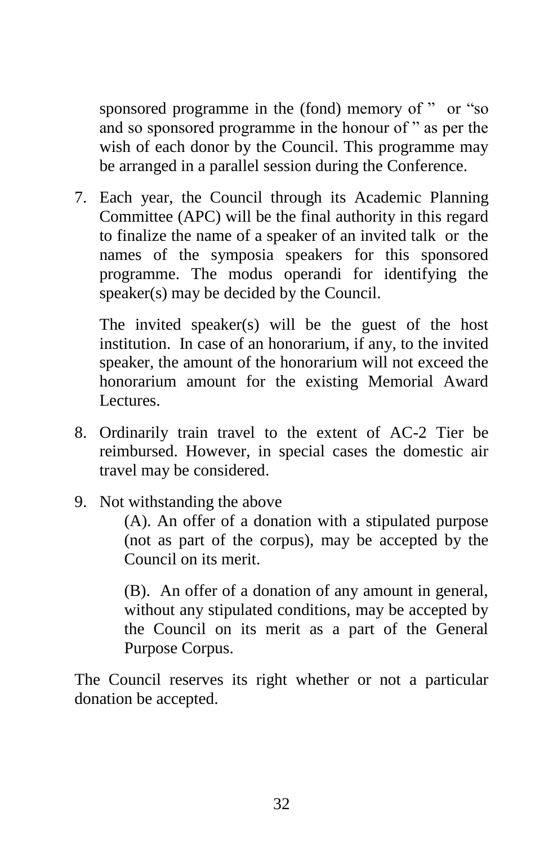sponsored programme in the (fond) memory of " or "so and so sponsored programme in the honour of " as per the wish of each donor by the Council. This programme may be arranged in a parallel session during the Conference.

7. Each year, the Council through its Academic Planning Committee (APC) will be the final authority in this regard to finalize the name of a speaker of an invited talk or the names of the symposia speakers for this sponsored programme. The modus operandi for identifying the speaker(s) may be decided by the Council.

The invited speaker(s) will be the guest of the host institution. In case of an honorarium, if any, to the invited speaker, the amount of the honorarium will not exceed the honorarium amount for the existing Memorial Award Lectures.

- 8. Ordinarily train travel to the extent of AC-2 Tier be reimbursed. However, in special cases the domestic air travel may be considered.
- 9. Not withstanding the above

(A). An offer of a donation with a stipulated purpose (not as part of the corpus), may be accepted by the Council on its merit.

(B). An offer of a donation of any amount in general, without any stipulated conditions, may be accepted by the Council on its merit as a part of the General Purpose Corpus.

The Council reserves its right whether or not a particular donation be accepted.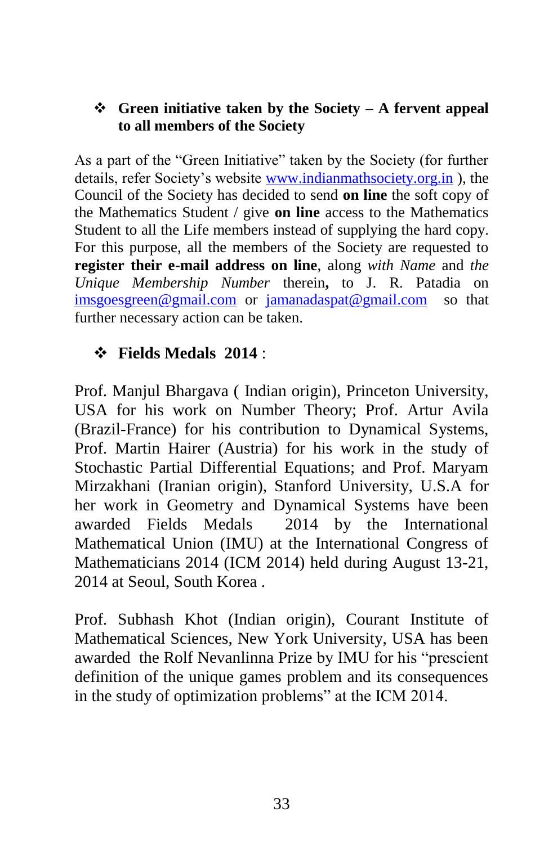## **Green initiative taken by the Society – A fervent appeal to all members of the Society**

As a part of the "Green Initiative" taken by the Society (for further details, refer Society's website [www.indianmathsociety.org.in](http://www.indianmathsociety.org.in/)), the Council of the Society has decided to send **on line** the soft copy of the Mathematics Student / give **on line** access to the Mathematics Student to all the Life members instead of supplying the hard copy. For this purpose, all the members of the Society are requested to **register their e-mail address on line**, along *with Name* and *the Unique Membership Number* therein**,** to J. R. Patadia on [imsgoesgreen@gmail.com](mailto:imsgoesgreen@gmail.com) or [jamanadaspat@gmail.com](mailto:jamanadaspat@gmail.com) so that further necessary action can be taken.

# **Fields Medals 2014** :

Prof. Manjul Bhargava ( Indian origin), Princeton University, USA for his work on Number Theory; Prof. Artur Avila (Brazil-France) for his contribution to Dynamical Systems, Prof. Martin Hairer (Austria) for his work in the study of Stochastic Partial Differential Equations; and Prof. Maryam Mirzakhani (Iranian origin), Stanford University, U.S.A for her work in Geometry and Dynamical Systems have been awarded Fields Medals 2014 by the International Mathematical Union (IMU) at the International Congress of Mathematicians 2014 (ICM 2014) held during August 13-21, 2014 at Seoul, South Korea .

Prof. Subhash Khot (Indian origin), Courant Institute of Mathematical Sciences, New York University, USA has been awarded the Rolf Nevanlinna Prize by IMU for his "prescient definition of the unique games problem and its consequences in the study of optimization problems" at the ICM 2014.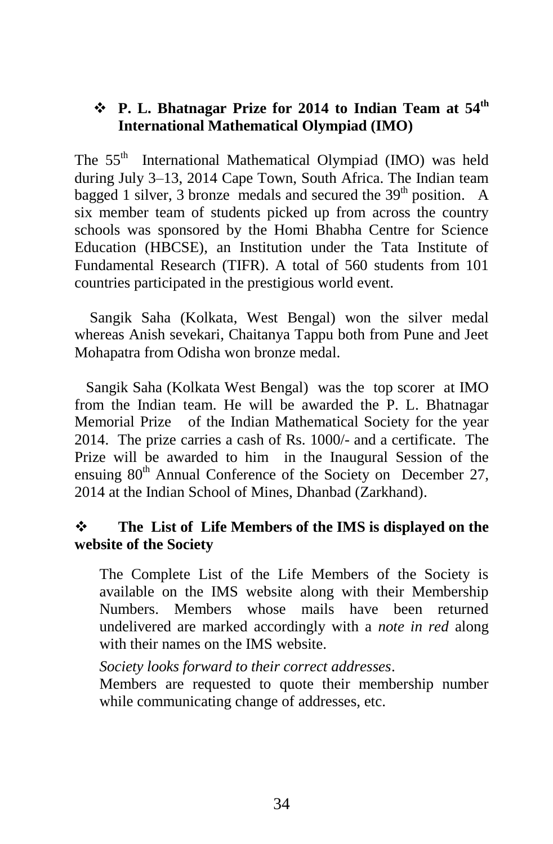#### **P. L. Bhatnagar Prize for 2014 to Indian Team at 54th International Mathematical Olympiad (IMO)**

The 55<sup>th</sup> International Mathematical Olympiad (IMO) was held during July 3–13, 2014 Cape Town, South Africa. The Indian team bagged 1 silver, 3 bronze medals and secured the 39<sup>th</sup> position. A six member team of students picked up from across the country schools was sponsored by the Homi Bhabha Centre for Science Education (HBCSE), an Institution under the Tata Institute of Fundamental Research (TIFR). A total of 560 students from 101 countries participated in the prestigious world event.

 Sangik Saha (Kolkata, West Bengal) won the silver medal whereas Anish sevekari, Chaitanya Tappu both from Pune and Jeet Mohapatra from Odisha won bronze medal.

 Sangik Saha (Kolkata West Bengal) was the top scorer at IMO from the Indian team. He will be awarded the P. L. Bhatnagar Memorial Prize of the Indian Mathematical Society for the year 2014. The prize carries a cash of Rs. 1000/- and a certificate. The Prize will be awarded to him in the Inaugural Session of the ensuing 80<sup>th</sup> Annual Conference of the Society on December 27, 2014 at the Indian School of Mines, Dhanbad (Zarkhand).

## **The List of Life Members of the IMS is displayed on the website of the Society**

The Complete List of the Life Members of the Society is available on the IMS website along with their Membership Numbers. Members whose mails have been returned undelivered are marked accordingly with a *note in red* along with their names on the IMS website.

#### *Society looks forward to their correct addresses*.

Members are requested to quote their membership number while communicating change of addresses, etc.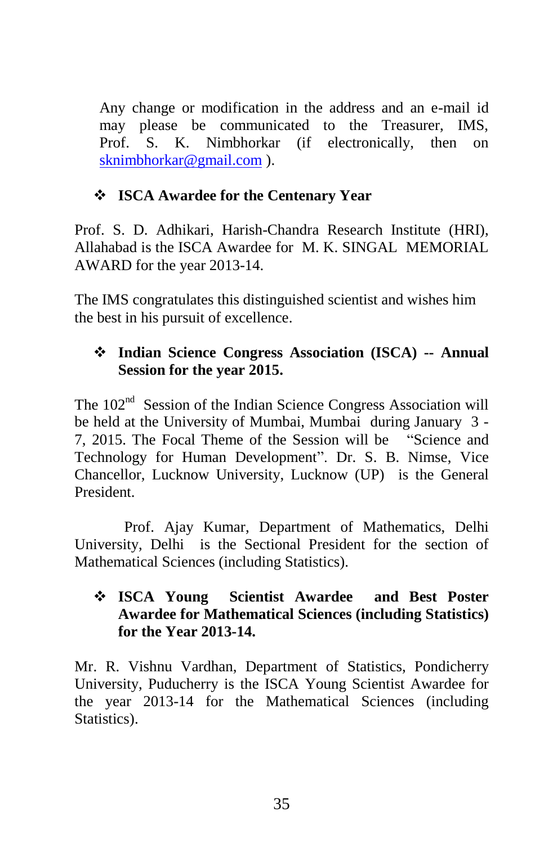Any change or modification in the address and an e-mail id may please be communicated to the Treasurer, IMS, Prof. S. K. Nimbhorkar (if electronically, then on [sknimbhorkar@gmail.com](mailto:sknimbhorkar@gmail.com) ).

## **ISCA Awardee for the Centenary Year**

Prof. S. D. Adhikari, Harish-Chandra Research Institute (HRI), Allahabad is the ISCA Awardee for M. K. SINGAL MEMORIAL AWARD for the year 2013-14.

The IMS congratulates this distinguished scientist and wishes him the best in his pursuit of excellence.

## **Indian Science Congress Association (ISCA) -- Annual Session for the year 2015.**

The 102<sup>nd</sup> Session of the Indian Science Congress Association will be held at the University of Mumbai, Mumbai during January 3 - 7, 2015. The Focal Theme of the Session will be "Science and Technology for Human Development". Dr. S. B. Nimse, Vice Chancellor, Lucknow University, Lucknow (UP) is the General President.

Prof. Ajay Kumar, Department of Mathematics, Delhi University, Delhi is the Sectional President for the section of Mathematical Sciences (including Statistics).

## **ISCA Young Scientist Awardee and Best Poster Awardee for Mathematical Sciences (including Statistics) for the Year 2013-14.**

Mr. R. Vishnu Vardhan, Department of Statistics, Pondicherry University, Puducherry is the ISCA Young Scientist Awardee for the year 2013-14 for the Mathematical Sciences (including Statistics).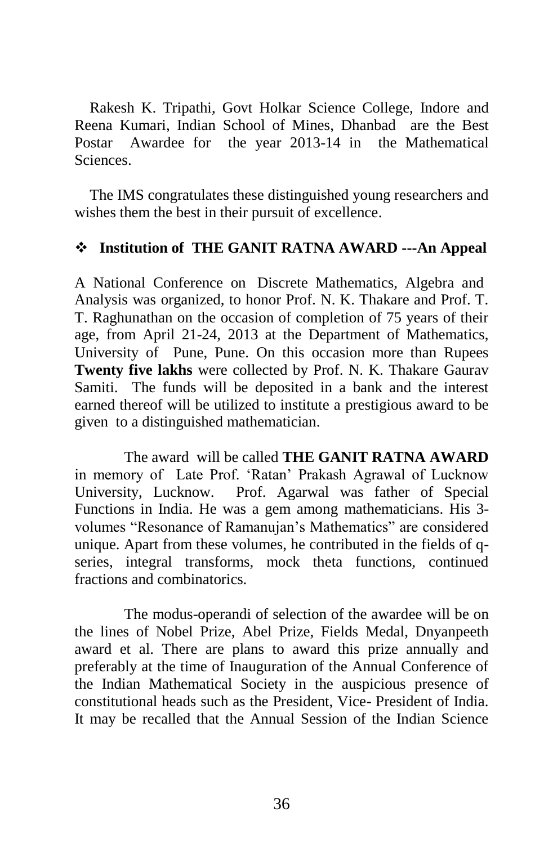Rakesh K. Tripathi, Govt Holkar Science College, Indore and Reena Kumari, Indian School of Mines, Dhanbad are the Best Postar Awardee for the year 2013-14 in the Mathematical Sciences.

 The IMS congratulates these distinguished young researchers and wishes them the best in their pursuit of excellence.

#### **Institution of THE GANIT RATNA AWARD ---An Appeal**

A National Conference on Discrete Mathematics, Algebra and Analysis was organized, to honor Prof. N. K. Thakare and Prof. T. T. Raghunathan on the occasion of completion of 75 years of their age, from April 21-24, 2013 at the Department of Mathematics, University of Pune, Pune. On this occasion more than Rupees **Twenty five lakhs** were collected by Prof. N. K. Thakare Gaurav Samiti. The funds will be deposited in a bank and the interest earned thereof will be utilized to institute a prestigious award to be given to a distinguished mathematician.

The award will be called **THE GANIT RATNA AWARD** in memory of Late Prof. "Ratan" Prakash Agrawal of Lucknow University, Lucknow. Prof. Agarwal was father of Special Functions in India. He was a gem among mathematicians. His 3 volumes "Resonance of Ramanujan"s Mathematics" are considered unique. Apart from these volumes, he contributed in the fields of qseries, integral transforms, mock theta functions, continued fractions and combinatorics.

The modus-operandi of selection of the awardee will be on the lines of Nobel Prize, Abel Prize, Fields Medal, Dnyanpeeth award et al. There are plans to award this prize annually and preferably at the time of Inauguration of the Annual Conference of the Indian Mathematical Society in the auspicious presence of constitutional heads such as the President, Vice- President of India. It may be recalled that the Annual Session of the Indian Science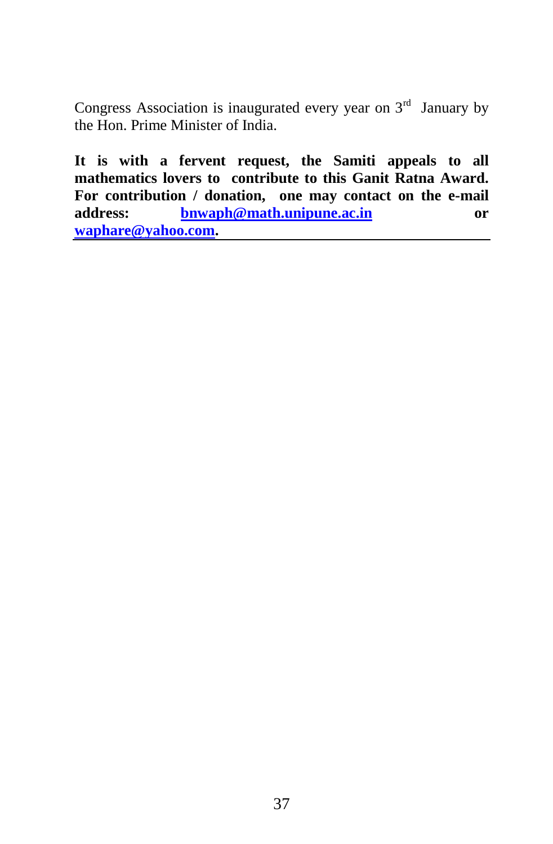Congress Association is inaugurated every year on  $3<sup>rd</sup>$  January by the Hon. Prime Minister of India.

**It is with a fervent request, the Samiti appeals to all mathematics lovers to contribute to this Ganit Ratna Award. For contribution / donation, one may contact on the e-mail address: [bnwaph@math.unipune.ac.in](mailto:bnwaph@math.unipune.ac.in) or [waphare@yahoo.com.](mailto:waphare@yahoo.com)**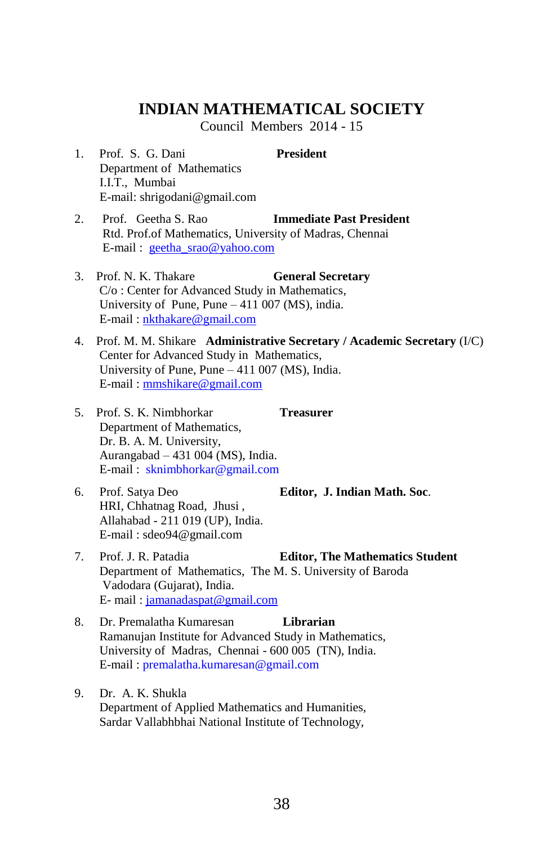#### **INDIAN MATHEMATICAL SOCIETY**

Council Members 2014 - 15

- 1. Prof. S. G. Dani **President** Department of Mathematics I.I.T., Mumbai E-mail: shrigodani@gmail.com
- 2. Prof. Geetha S. Rao **Immediate Past President** Rtd. Prof.of Mathematics, University of Madras, Chennai E-mail : [geetha\\_srao@yahoo.com](mailto:geetha_srao@yahoo.com)
- 3. Prof. N. K. Thakare **General Secretary** C/o : Center for Advanced Study in Mathematics, University of Pune, Pune – 411 007 (MS), india. E-mail [: nkthakare@gmail.com](mailto:nkthakare@gmail.com)
- 4. Prof. M. M. Shikare **Administrative Secretary / Academic Secretary** (I/C) Center for Advanced Study in Mathematics, University of Pune, Pune – 411 007 (MS), India. E-mail [: mmshikare@gmail.com](mailto:mmshikare@gmail.com)
- 5. Prof. S. K. Nimbhorkar **Treasurer** Department of Mathematics, Dr. B. A. M. University, Aurangabad – 431 004 (MS), India. E-mail : [sknimbhorkar@gmail.com](mailto:sknimbhorkar@gmail.com)
- 6. Prof. Satya Deo **Editor, J. Indian Math. Soc**. HRI, Chhatnag Road, Jhusi , Allahabad - 211 019 (UP), India. E-mail : sdeo94@gmail.com

- 7. Prof. J. R. Patadia **Editor, The Mathematics Student** Department of Mathematics, The M. S. University of Baroda Vadodara (Gujarat), India. E- mail [: jamanadaspat@gmail.com](mailto:jamanadaspat@gmail.com)
- 8. Dr. Premalatha Kumaresan **Librarian** Ramanujan Institute for Advanced Study in Mathematics, University of Madras, Chennai - 600 005 (TN), India. E-mail [: premalatha.kumaresan@gmail.com](mailto:premalatha.kumaresan@gmail.com)
- 9. Dr. A. K. Shukla Department of Applied Mathematics and Humanities, Sardar Vallabhbhai National Institute of Technology,